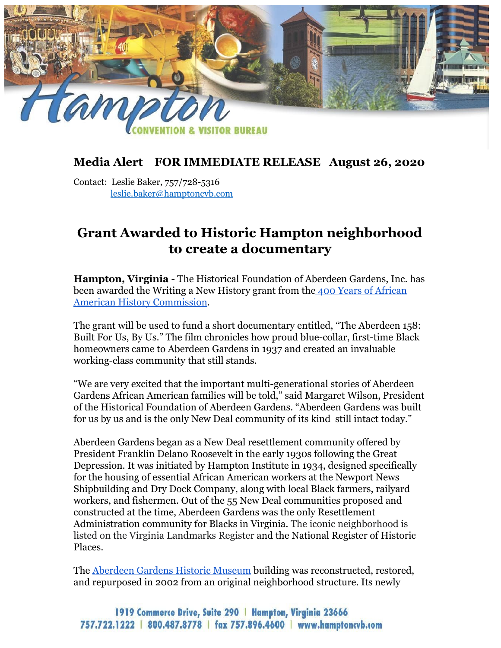

## **Media Alert FOR IMMEDIATE RELEASE August 26, 2020**

Contact: Leslie Baker, 757/728-5316 leslie.baker@hamptoncvb.com

## **Grant Awarded to Historic Hampton neighborhood to create a documentary**

**Hampton, Virginia** - The Historical Foundation of Aberdeen Gardens, Inc. has been awarded the Writing a New History grant from the [400 Years of African](https://400yaahc.com/) [American History Commission.](https://400yaahc.com/)

The grant will be used to fund a short documentary entitled, "The Aberdeen 158: Built For Us, By Us." The film chronicles how proud blue-collar, first-time Black homeowners came to Aberdeen Gardens in 1937 and created an invaluable working-class community that still stands.

"We are very excited that the important multi-generational stories of Aberdeen Gardens African American families will be told," said Margaret Wilson, President of the Historical Foundation of Aberdeen Gardens. "Aberdeen Gardens was built for us by us and is the only New Deal community of its kind still intact today."

Aberdeen Gardens began as a New Deal resettlement community offered by President Franklin Delano Roosevelt in the early 1930s following the Great Depression. It was initiated by Hampton Institute in 1934, designed specifically for the housing of essential African American workers at the Newport News Shipbuilding and Dry Dock Company, along with local Black farmers, railyard workers, and fishermen. Out of the 55 New Deal communities proposed and constructed at the time, Aberdeen Gardens was the only Resettlement Administration community for Blacks in Virginia. The iconic neighborhood is listed on the Virginia Landmarks Register and the National Register of Historic Places.

The [Aberdeen Gardens Historic Museum](https://www.visithampton.com/attraction/aberdeen-gardens-historic-museum/) building was reconstructed, restored, and repurposed in 2002 from an original neighborhood structure. Its newly

## 1919 Commerce Drive, Suite 290 | Hampton, Virginia 23666 757.722.1222 | 800.487.8778 | fax 757.896.4600 | www.hamptoncyb.com